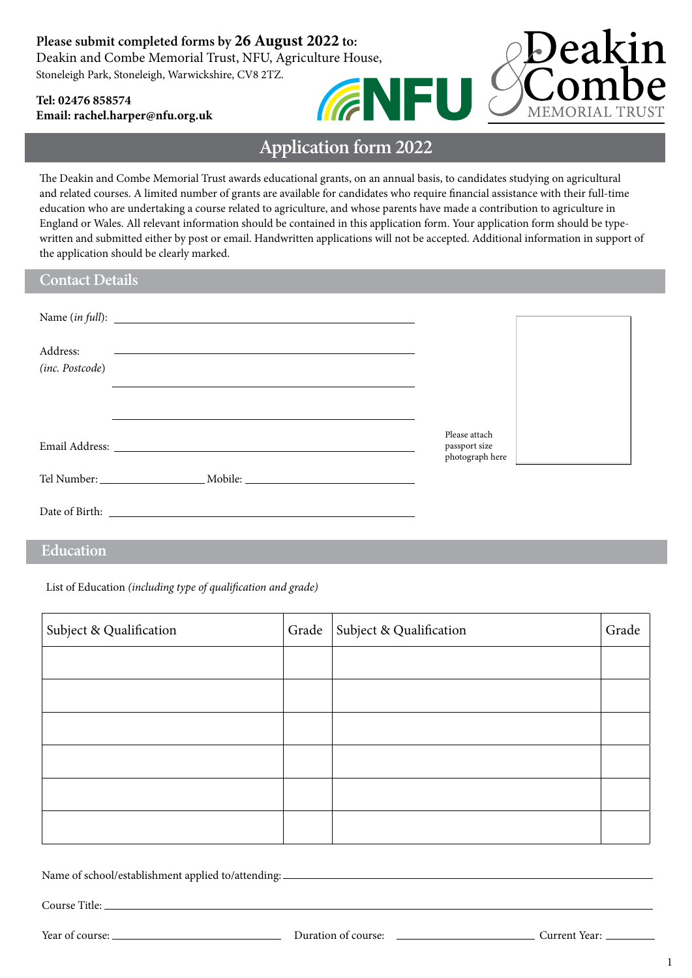## **Please submit completed forms by 26 August 2022 to:**

Deakin and Combe Memorial Trust, NFU, Agriculture House, Stoneleigh Park, Stoneleigh, Warwickshire, CV8 2TZ. **GNFU** 

### **Tel: 02476 858574 Email: rachel.harpe[r@nfu.org.uk](mailto:rachel.harper%40nfu.org.uk?subject=)**



The Deakin and Combe Memorial Trust awards educational grants, on an annual basis, to candidates studying on agricultural and related courses. A limited number of grants are available for candidates who require financial assistance with their full-time education who are undertaking a course related to agriculture, and whose parents have made a contribution to agriculture in England or Wales. All relevant information should be contained in this application form. Your application form should be typewritten and submitted either by post or email. Handwritten applications will not be accepted. Additional information in support of the application should be clearly marked.

### **Contact Details**

| Address:<br>(inc. Postcode) | <u> 1990 - Jan Barbara (h. 1980).</u><br>1901 - Johann Barbara, frantziar martxar (h. 1902).                                                                                                                                   |                                |  |
|-----------------------------|--------------------------------------------------------------------------------------------------------------------------------------------------------------------------------------------------------------------------------|--------------------------------|--|
|                             | Email Address: The Contract of the Contract of the Contract of the Contract of the Contract of the Contract of the Contract of the Contract of the Contract of the Contract of the Contract of the Contract of the Contract of | Please attach<br>passport size |  |
|                             |                                                                                                                                                                                                                                | photograph here                |  |
|                             |                                                                                                                                                                                                                                |                                |  |

## **Education**

List of Education *(including type of qualification and grade)*

| Subject & Qualification | Grade   Subject & Qualification | Grade |
|-------------------------|---------------------------------|-------|
|                         |                                 |       |
|                         |                                 |       |
|                         |                                 |       |
|                         |                                 |       |
|                         |                                 |       |
|                         |                                 |       |

Name of school/establishment applied to/attending:

Course Title:

Deakin

**MEMORIAL TRUST**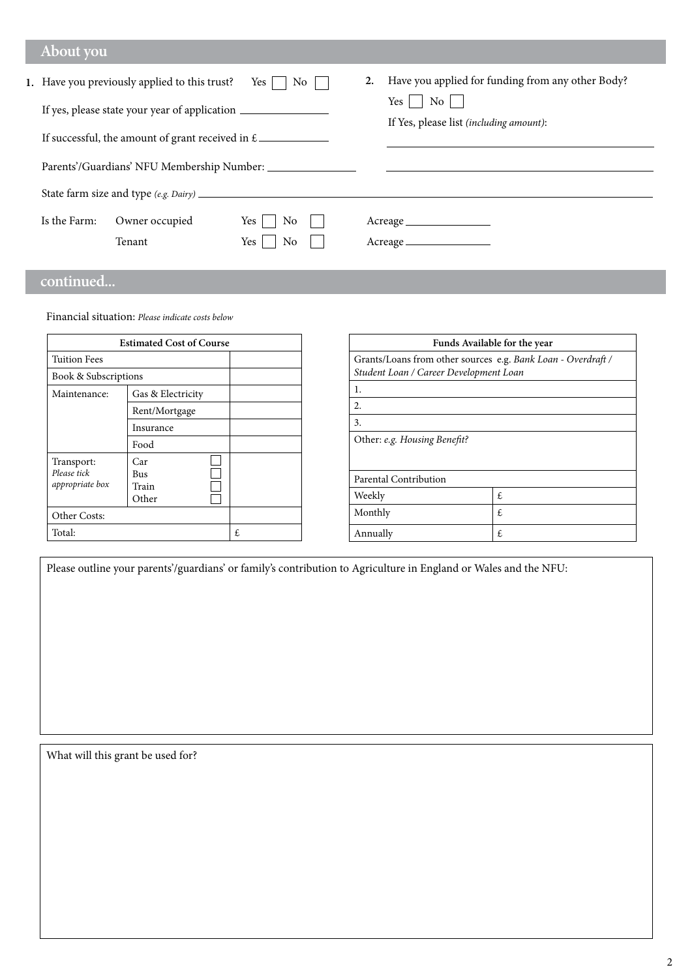## **About you**

|              | 1. Have you previously applied to this trust?<br>If yes, please state your year of application __________________________________<br>If successful, the amount of grant received in $\epsilon$ | No<br>Yes                | Have you applied for funding from any other Body?<br>2.<br>Yes<br>No<br>If Yes, please list (including amount): |
|--------------|------------------------------------------------------------------------------------------------------------------------------------------------------------------------------------------------|--------------------------|-----------------------------------------------------------------------------------------------------------------|
| Is the Farm: | Owner occupied<br>Tenant                                                                                                                                                                       | No<br>Yes  <br>No<br>Yes | Acreage                                                                                                         |

# **continued...**

Financial situation: *Please indicate costs below*

|                                                    | <b>Estimated Cost of Course</b> |   | Funds Available for the year                                 |  |  |
|----------------------------------------------------|---------------------------------|---|--------------------------------------------------------------|--|--|
| <b>Tuition Fees</b>                                |                                 |   | Grants/Loans from other sources e.g. Bank Loan - Overdraft / |  |  |
| Book & Subscriptions                               |                                 |   | Student Loan / Career Development Loan                       |  |  |
| Gas & Electricity<br>Maintenance:<br>Rent/Mortgage |                                 |   | 1.                                                           |  |  |
|                                                    |                                 |   | 2.                                                           |  |  |
|                                                    | Insurance                       |   | 3.                                                           |  |  |
|                                                    | Food                            |   | Other: e.g. Housing Benefit?                                 |  |  |
| Transport:                                         | Car                             |   |                                                              |  |  |
| Please tick<br>appropriate box                     | <b>Bus</b><br>Train             |   | Parental Contribution                                        |  |  |
|                                                    | Other                           |   | Weekly<br>£                                                  |  |  |
| Other Costs:                                       |                                 |   | Monthly<br>£                                                 |  |  |
| Total:                                             |                                 | £ | £<br>Annually                                                |  |  |

Please outline your parents'/guardians' or family's contribution to Agriculture in England or Wales and the NFU:

What will this grant be used for?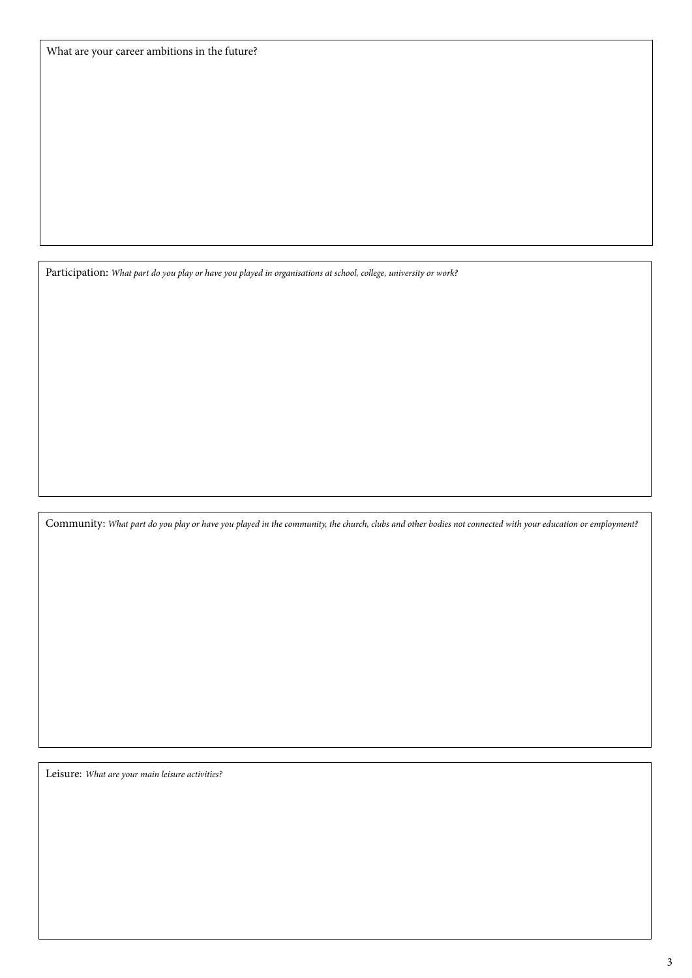Participation: *What part do you play or have you played in organisations at school, college, university or work?*

Community: *What part do you play or have you played in the community, the church, clubs and other bodies not connected with your education or employment?*

Leisure: *What are your main leisure activities?*